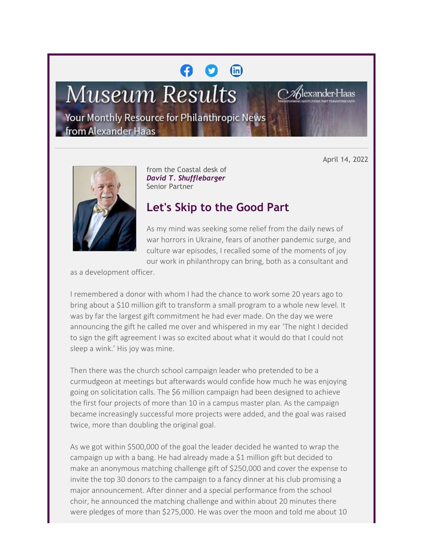# $(n)$

**Museum Results** 

lexander l

Your Monthly Resource for Philanthropic News from Alexander Haas

April 14, 2022



from the Coastal desk of *David T. Shufflebarger* Senior Partner

# **Let's Skip to the Good Part**

As my mind was seeking some relief from the daily news of war horrors in Ukraine, fears of another pandemic surge, and culture war episodes, I recalled some of the moments of joy our work in philanthropy can bring, both as a consultant and

as a development officer.

I remembered a donor with whom I had the chance to work some 20 years ago to bring about a \$10 million gift to transform a small program to a whole new level. It was by far the largest gift commitment he had ever made. On the day we were announcing the gift he called me over and whispered in my ear 'The night I decided to sign the gift agreement I was so excited about what it would do that I could not sleep a wink.' His joy was mine.

Then there was the church school campaign leader who pretended to be a curmudgeon at meetings but afterwards would confide how much he was enjoying going on solicitation calls. The \$6 million campaign had been designed to achieve the first four projects of more than 10 in a campus master plan. As the campaign became increasingly successful more projects were added, and the goal was raised twice, more than doubling the original goal.

As we got within \$500,000 of the goal the leader decided he wanted to wrap the campaign up with a bang. He had already made a \$1 million gift but decided to make an anonymous matching challenge gift of \$250,000 and cover the expense to invite the top 30 donors to the campaign to a fancy dinner at his club promising a major announcement. After dinner and a special performance from the school choir, he announced the matching challenge and within about 20 minutes there were pledges of more than \$275,000. He was over the moon and told me about 10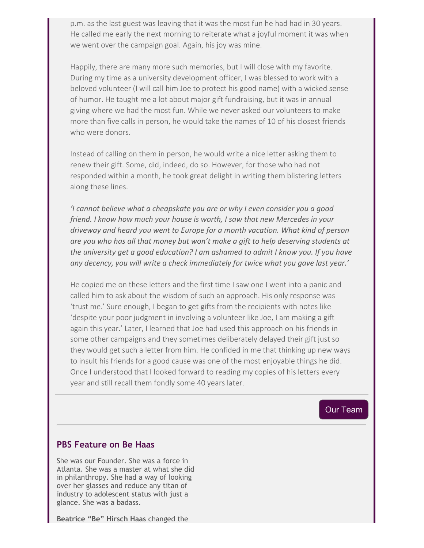p.m. as the last guest was leaving that it was the most fun he had had in 30 years. He called me early the next morning to reiterate what a joyful moment it was when we went over the campaign goal. Again, his joy was mine.

Happily, there are many more such memories, but I will close with my favorite. During my time as a university development officer, I was blessed to work with a beloved volunteer (I will call him Joe to protect his good name) with a wicked sense of humor. He taught me a lot about major gift fundraising, but it was in annual giving where we had the most fun. While we never asked our volunteers to make more than five calls in person, he would take the names of 10 of his closest friends who were donors.

Instead of calling on them in person, he would write a nice letter asking them to renew their gift. Some, did, indeed, do so. However, for those who had not responded within a month, he took great delight in writing them blistering letters along these lines.

*'I cannot believe what a cheapskate you are or why I even consider you a good friend. I know how much your house is worth, I saw that new Mercedes in your driveway and heard you went to Europe for a month vacation. What kind of person are you who has all that money but won't make a gift to help deserving students at the university get a good education? I am ashamed to admit I know you. If you have any decency, you will write a check immediately for twice what you gave last year.'*

He copied me on these letters and the first time I saw one I went into a panic and called him to ask about the wisdom of such an approach. His only response was 'trust me.' Sure enough, I began to get gifts from the recipients with notes like 'despite your poor judgment in involving a volunteer like Joe, I am making a gift again this year.' Later, I learned that Joe had used this approach on his friends in some other campaigns and they sometimes deliberately delayed their gift just so they would get such a letter from him. He confided in me that thinking up new ways to insult his friends for a good cause was one of the most enjoyable things he did. Once I understood that I looked forward to reading my copies of his letters every year and still recall them fondly some 40 years later.

#### [Our Team](https://cl.exct.net/?qs=783155ef2b8bc31ecfefe5a6cb89649eb2b102b2bdf3953cb75a17afcf0848998af403e64ab5f761375addd1ba9b6949)

## **PBS Feature on Be Haas**

She was our Founder. She was a force in Atlanta. She was a master at what she did in philanthropy. She had a way of looking over her glasses and reduce any titan of industry to adolescent status with just a glance. She was a badass.

**Beatrice "Be" Hirsch Haas** changed the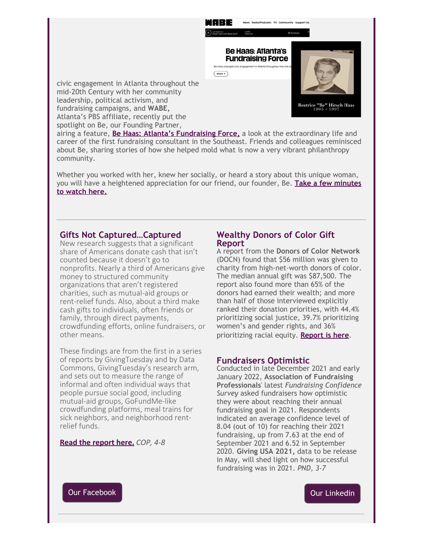

civic engagement in Atlanta throughout the mid-20th Century with her community leadership, political activism, and fundraising campaigns, and **WABE,** Atlanta's PBS affiliate, recently put the spotlight on Be, our Founding Partner,

airing a feature, **[Be Haas: Atlanta's Fundraising Force,](https://cl.exct.net/?qs=783155ef2b8bc31ee35fe0661702cec5b5ff194269e27b842d4ed7c36c22db73f9be800704d4cf000c4b86d487d7fd45)** a look at the extraordinary life and career of the first fundraising consultant in the Southeast. Friends and colleagues reminisced about Be, sharing stories of how she helped mold what is now a very vibrant philanthropy community.

Whether you worked with her, knew her socially, or heard a story about this unique woman, you will have a heightened appreciation for our friend, our founder, Be. **[Take a few minutes](https://cl.exct.net/?qs=783155ef2b8bc31e24094cc6454fe8e246e206bfce6ee92a281ba4c982e3873931413f28bb352a6f11145ec45ff7ffe5) [to watch here.](https://cl.exct.net/?qs=783155ef2b8bc31e24094cc6454fe8e246e206bfce6ee92a281ba4c982e3873931413f28bb352a6f11145ec45ff7ffe5)**

#### **Gifts Not Captured…Captured**

New research suggests that a significant share of Americans donate cash that isn't counted because it doesn't go to nonprofits. Nearly a third of Americans give money to structured community organizations that aren't registered charities, such as mutual-aid groups or rent-relief funds. Also, about a third make cash gifts to individuals, often friends or family, through direct payments, crowdfunding efforts, online fundraisers, or other means.

These findings are from the first in a series of reports by GivingTuesday and by Data Commons, GivingTuesday's research arm, and sets out to measure the range of informal and often individual ways that people pursue social good, including mutual-aid groups, GoFundMe-like crowdfunding platforms, meal trains for sick neighbors, and neighborhood rentrelief funds.

#### **[Read the report here.](https://cl.exct.net/?qs=783155ef2b8bc31e47a2abf623bcf00c024c7aafd0df777f231a3bf4a04ef0ce9f1275708662bdfb181018d892815a2e)** *COP, 4-8*

#### **Wealthy Donors of Color Gift Report**

A report from the **Donors of Color Network** (DOCN) found that \$56 million was given to charity from high-net-worth donors of color. The median annual gift was \$87,500. The report also found more than 65% of the donors had earned their wealth; and more than half of those interviewed explicitly ranked their donation priorities, with 44.4% prioritizing social justice, 39.7% prioritizing women's and gender rights, and 36% prioritizing racial equity. **[Report is here](https://cl.exct.net/?qs=783155ef2b8bc31e75824bf8623ec52a65c8e261dfb0e99a0954fb50593702a2385745f2aaa6d544dec47e47e145194b).**

## **Fundraisers Optimistic**

Conducted in late December 2021 and early January 2022, **Association of Fundraising Professionals**' latest *Fundraising Confidence Survey* asked fundraisers how optimistic they were about reaching their annual fundraising goal in 2021. Respondents indicated an average confidence level of 8.04 (out of 10) for reaching their 2021 fundraising, up from 7.63 at the end of September 2021 and 6.52 in September 2020. **Giving USA 2021,** data to be release in May, will shed light on how successful fundraising was in 2021. *PND, 3-7*



[Our Linkedin](https://cl.exct.net/?qs=783155ef2b8bc31e41b37a6f8b9153c2da7fd0a98077887614a6e23474038071327b31a171a3396bfec9ffc90a15d5dc)